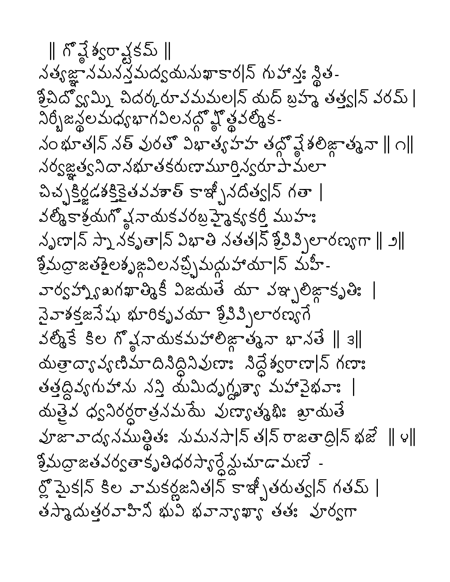∥ గొఛ్ఖే శ్వరాష్టకమ్ ∥ నత్యజ్ఞానమనస్త్రమద్యమమఖాకార|న్ గుహాన్తః న్థిత-శ్రీవిద్వోమ్ని చిదర్కరూవమమల|న్ యద్ బ్రహ్మ తత్త్వ|న్ వరమ్ | నిర్భీజన్థలమధ్యభాగవిలనద్దో హ్లీవల్మీక-నం భూత|న్ నత్ వురతో విభాత్యహహ తద్దో వ్లే శలిజ్గాత్మనా ∥ ౧∥ నర్వజ్ఞత్వనిదానభూతకరుణామూర్తిన్వరూపామలా చిచ్చక్రిడశక్తికైతవవశాత్ కాఇ్చీనదిత్వ|న్ గతా | వల్మీకాశ్రయగో వ్ల నాయకవరబ్ర హైక్య కర్తీ ముహుః నృణా|న్ స్నా నకృతా|న్ విభాతి నతత|న్ శ్రీవివ్పిలారణ్యగా || ౨|| శ్రీమద్రాజతశైలశృజ్ధవిలనచ్చ్చిమద్దుహాయా|న్ మహీ-*వార్వహ్నా బగఖా* లెంకీ విజయతే యా వఞ్భలిజ్గాకృతి: | సైవాశక్తజనేషు భూరికృవయా శ్రీవివ్పిలారణ్యగే  $\frac{1}{3}$ లో స్వామకమహాలిజ్రాత్మనా భానతే || 3|| యత్రాద్యావ్యణిమాదినిద్దినివుణాః నిద్దేశ్వరాణా|న్ గణాః తత్తద్దివ్యగుహాను నస్తి యేమిదృగ్ధృశ్యా మహావైభవాః | ஸ்த்த் குஜிக்குச் சில் கிரை சிலை குறைக் హజావాద్యనముత్లితః నుమనసా|న్ త|న్ రాజతాద్రి|న్ భజే || ౪||  $\frac{3}{2}$ మద్రాజతవర్వతాకృతిధరస్యార్దేశ్లుచూడామణే -ర్లో మైక|న్ కిల వామకర్లజనిత|న్ కాఇ్బీతరుత్వ|న్ గతమ్ | తస్మాదుత్తరవాహిని భువ భవాన్యాఖ్య తత: పూర్వగా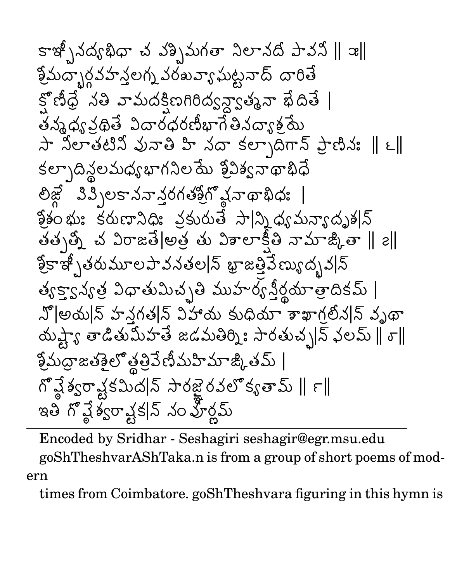Encoded by Sridhar - Seshagiri seshagir@egr.msu.edu goShTheshvarAShTaka.n is from a group of short poems of modern

times from Coimbatore. goShTheshvara figuring in this hymn is